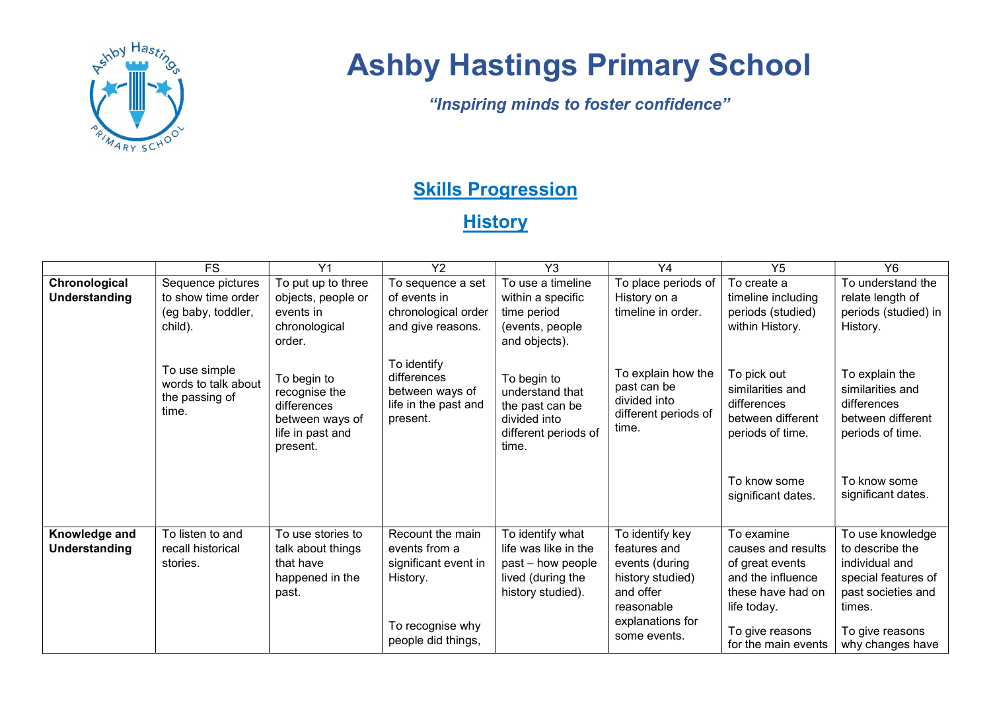

## Ashby Hastings Primary School

"Inspiring minds to foster confidence"

## **Skills Progression**

**History** 

|                                | <b>FS</b>                                                       | Y <sub>1</sub>                                                                                 | <b>Y2</b>                                                                         | Y <sub>3</sub>                                                                                          | Y4                                                                                               | Y <sub>5</sub>                                                                                               | <b>Y6</b>                                                                                                    |
|--------------------------------|-----------------------------------------------------------------|------------------------------------------------------------------------------------------------|-----------------------------------------------------------------------------------|---------------------------------------------------------------------------------------------------------|--------------------------------------------------------------------------------------------------|--------------------------------------------------------------------------------------------------------------|--------------------------------------------------------------------------------------------------------------|
| Chronological                  | Sequence pictures                                               | To put up to three                                                                             | To sequence a set                                                                 | To use a timeline                                                                                       | To place periods of                                                                              | To create a                                                                                                  | To understand the                                                                                            |
| Understanding                  | to show time order                                              | objects, people or                                                                             | of events in                                                                      | within a specific                                                                                       | History on a                                                                                     | timeline including                                                                                           | relate length of                                                                                             |
|                                | (eg baby, toddler,                                              | events in                                                                                      | chronological order                                                               | time period                                                                                             | timeline in order.                                                                               | periods (studied)                                                                                            | periods (studied) in                                                                                         |
|                                | child).                                                         | chronological<br>order.                                                                        | and give reasons.                                                                 | (events, people<br>and objects).                                                                        |                                                                                                  | within History.                                                                                              | History.                                                                                                     |
|                                | To use simple<br>words to talk about<br>the passing of<br>time. | To begin to<br>recognise the<br>differences<br>between ways of<br>life in past and<br>present. | To identify<br>differences<br>between ways of<br>life in the past and<br>present. | To begin to<br>understand that<br>the past can be<br>divided into<br>different periods of<br>time.      | To explain how the<br>past can be<br>divided into<br>different periods of<br>time.               | To pick out<br>similarities and<br>differences<br>between different<br>periods of time.                      | To explain the<br>similarities and<br>differences<br>between different<br>periods of time.                   |
|                                |                                                                 |                                                                                                |                                                                                   |                                                                                                         |                                                                                                  | To know some<br>significant dates.                                                                           | To know some<br>significant dates.                                                                           |
| Knowledge and<br>Understanding | To listen to and<br>recall historical<br>stories.               | To use stories to<br>talk about things<br>that have<br>happened in the<br>past.                | Recount the main<br>events from a<br>significant event in<br>History.             | To identify what<br>life was like in the<br>past - how people<br>lived (during the<br>history studied). | To identify key<br>features and<br>events (during<br>history studied)<br>and offer<br>reasonable | To examine<br>causes and results<br>of great events<br>and the influence<br>these have had on<br>life today. | To use knowledge<br>to describe the<br>individual and<br>special features of<br>past societies and<br>times. |
|                                |                                                                 |                                                                                                | To recognise why<br>people did things,                                            |                                                                                                         | explanations for<br>some events.                                                                 | To give reasons<br>for the main events                                                                       | To give reasons<br>why changes have                                                                          |